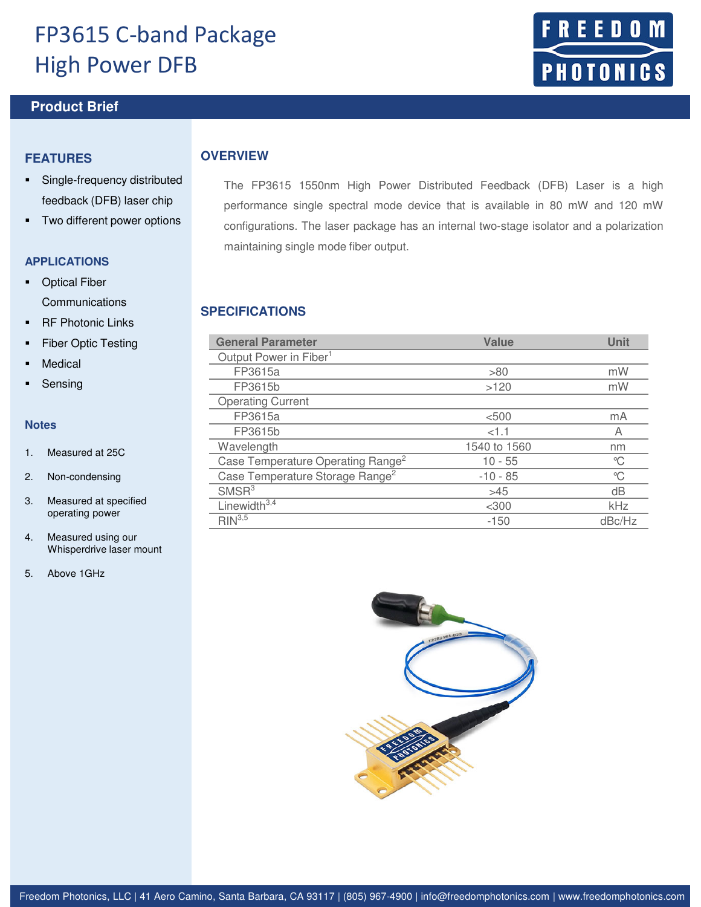## FP3615 C-band Package High Power DFB

## **Product Brief <b>Product** Brief **February 2015**

### **FEATURES**

- Single-frequency distributed feedback (DFB) laser chip
- **Two different power options**

#### **APPLICATIONS**

- **•** Optical Fiber Communications
- **RF Photonic Links**
- Fiber Optic Testing
- Medical
- Sensing

#### **Notes**

- 1. Measured at 25C
- 2. Non-condensing
- 3. Measured at specified operating power
- 4. Measured using our Whisperdrive laser mount
- 5. Above 1GHz

The FP3615 1550nm High Power Distributed Feedback (DFB) Laser is a high performance single spectral mode device that is available in 80 mW and 120 mW configurations. The laser package has an internal two-stage isolator and a polarization maintaining single mode fiber output.

## **SPECIFICATIONS**

**OVERVIEW**

| <b>General Parameter</b>                      | Value        | Unit   |
|-----------------------------------------------|--------------|--------|
| Output Power in Fiber <sup>1</sup>            |              |        |
| FP3615a                                       | >80          | mW     |
| FP3615b                                       | >120         | mW     |
| <b>Operating Current</b>                      |              |        |
| FP3615a                                       | < 500        | mA     |
| FP3615b                                       | <1.1         | Α      |
| Wavelength                                    | 1540 to 1560 | nm     |
| Case Temperature Operating Range <sup>2</sup> | $10 - 55$    | °C     |
| Case Temperature Storage Range <sup>2</sup>   | $-10 - 85$   | °C     |
| SMSR <sup>3</sup>                             | >45          | dB     |
| Linewidth $3,4$                               | $<$ 300      | kHz    |
| $RIN^{3,5}$                                   | $-150$       | dBc/Hz |